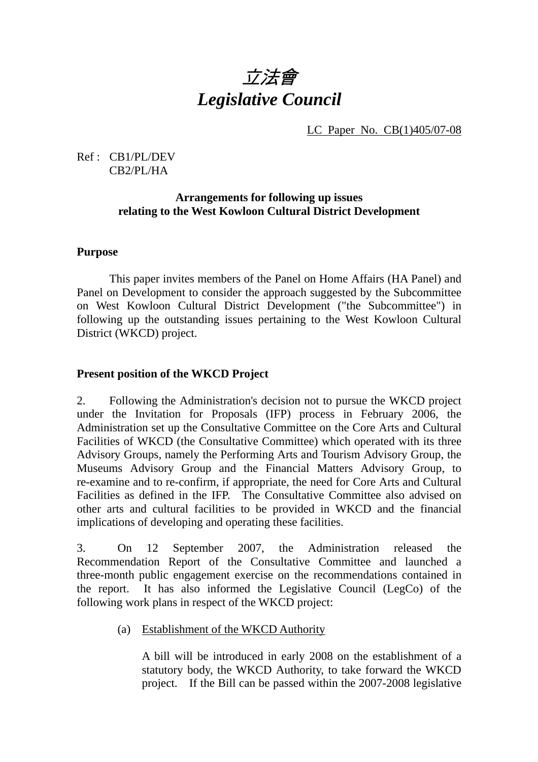# 立法會 *Legislative Council*

LC Paper No. CB(1)405/07-08

# Ref : CB1/PL/DEV CB2/PL/HA

# **Arrangements for following up issues relating to the West Kowloon Cultural District Development**

# **Purpose**

 This paper invites members of the Panel on Home Affairs (HA Panel) and Panel on Development to consider the approach suggested by the Subcommittee on West Kowloon Cultural District Development ("the Subcommittee") in following up the outstanding issues pertaining to the West Kowloon Cultural District (WKCD) project.

# **Present position of the WKCD Project**

2. Following the Administration's decision not to pursue the WKCD project under the Invitation for Proposals (IFP) process in February 2006, the Administration set up the Consultative Committee on the Core Arts and Cultural Facilities of WKCD (the Consultative Committee) which operated with its three Advisory Groups, namely the Performing Arts and Tourism Advisory Group, the Museums Advisory Group and the Financial Matters Advisory Group, to re-examine and to re-confirm, if appropriate, the need for Core Arts and Cultural Facilities as defined in the IFP. The Consultative Committee also advised on other arts and cultural facilities to be provided in WKCD and the financial implications of developing and operating these facilities.

3. On 12 September 2007, the Administration released the Recommendation Report of the Consultative Committee and launched a three-month public engagement exercise on the recommendations contained in the report. It has also informed the Legislative Council (LegCo) of the following work plans in respect of the WKCD project:

# (a) Establishment of the WKCD Authority

 A bill will be introduced in early 2008 on the establishment of a statutory body, the WKCD Authority, to take forward the WKCD project. If the Bill can be passed within the 2007-2008 legislative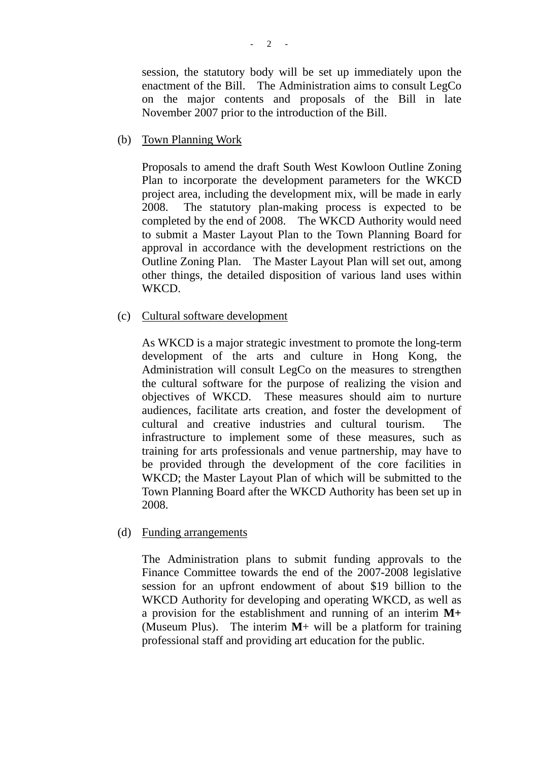session, the statutory body will be set up immediately upon the enactment of the Bill. The Administration aims to consult LegCo on the major contents and proposals of the Bill in late November 2007 prior to the introduction of the Bill.

(b) Town Planning Work

 Proposals to amend the draft South West Kowloon Outline Zoning Plan to incorporate the development parameters for the WKCD project area, including the development mix, will be made in early 2008. The statutory plan-making process is expected to be completed by the end of 2008. The WKCD Authority would need to submit a Master Layout Plan to the Town Planning Board for approval in accordance with the development restrictions on the Outline Zoning Plan. The Master Layout Plan will set out, among other things, the detailed disposition of various land uses within WKCD.

(c) Cultural software development

 As WKCD is a major strategic investment to promote the long-term development of the arts and culture in Hong Kong, the Administration will consult LegCo on the measures to strengthen the cultural software for the purpose of realizing the vision and objectives of WKCD. These measures should aim to nurture audiences, facilitate arts creation, and foster the development of cultural and creative industries and cultural tourism. The infrastructure to implement some of these measures, such as training for arts professionals and venue partnership, may have to be provided through the development of the core facilities in WKCD; the Master Layout Plan of which will be submitted to the Town Planning Board after the WKCD Authority has been set up in 2008.

(d) Funding arrangements

 The Administration plans to submit funding approvals to the Finance Committee towards the end of the 2007-2008 legislative session for an upfront endowment of about \$19 billion to the WKCD Authority for developing and operating WKCD, as well as a provision for the establishment and running of an interim **M+** (Museum Plus). The interim **M**+ will be a platform for training professional staff and providing art education for the public.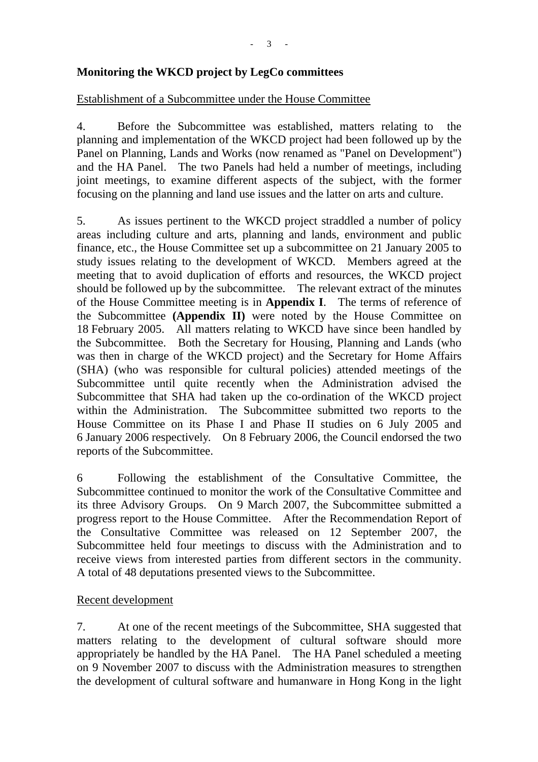# **Monitoring the WKCD project by LegCo committees**

#### Establishment of a Subcommittee under the House Committee

4. Before the Subcommittee was established, matters relating to the planning and implementation of the WKCD project had been followed up by the Panel on Planning, Lands and Works (now renamed as "Panel on Development") and the HA Panel. The two Panels had held a number of meetings, including joint meetings, to examine different aspects of the subject, with the former focusing on the planning and land use issues and the latter on arts and culture.

5. As issues pertinent to the WKCD project straddled a number of policy areas including culture and arts, planning and lands, environment and public finance, etc., the House Committee set up a subcommittee on 21 January 2005 to study issues relating to the development of WKCD. Members agreed at the meeting that to avoid duplication of efforts and resources, the WKCD project should be followed up by the subcommittee. The relevant extract of the minutes of the House Committee meeting is in **Appendix I**. The terms of reference of the Subcommittee **(Appendix II)** were noted by the House Committee on 18 February 2005. All matters relating to WKCD have since been handled by the Subcommittee. Both the Secretary for Housing, Planning and Lands (who was then in charge of the WKCD project) and the Secretary for Home Affairs (SHA) (who was responsible for cultural policies) attended meetings of the Subcommittee until quite recently when the Administration advised the Subcommittee that SHA had taken up the co-ordination of the WKCD project within the Administration. The Subcommittee submitted two reports to the House Committee on its Phase I and Phase II studies on 6 July 2005 and 6 January 2006 respectively. On 8 February 2006, the Council endorsed the two reports of the Subcommittee.

6 Following the establishment of the Consultative Committee, the Subcommittee continued to monitor the work of the Consultative Committee and its three Advisory Groups. On 9 March 2007, the Subcommittee submitted a progress report to the House Committee. After the Recommendation Report of the Consultative Committee was released on 12 September 2007, the Subcommittee held four meetings to discuss with the Administration and to receive views from interested parties from different sectors in the community. A total of 48 deputations presented views to the Subcommittee.

# Recent development

7. At one of the recent meetings of the Subcommittee, SHA suggested that matters relating to the development of cultural software should more appropriately be handled by the HA Panel. The HA Panel scheduled a meeting on 9 November 2007 to discuss with the Administration measures to strengthen the development of cultural software and humanware in Hong Kong in the light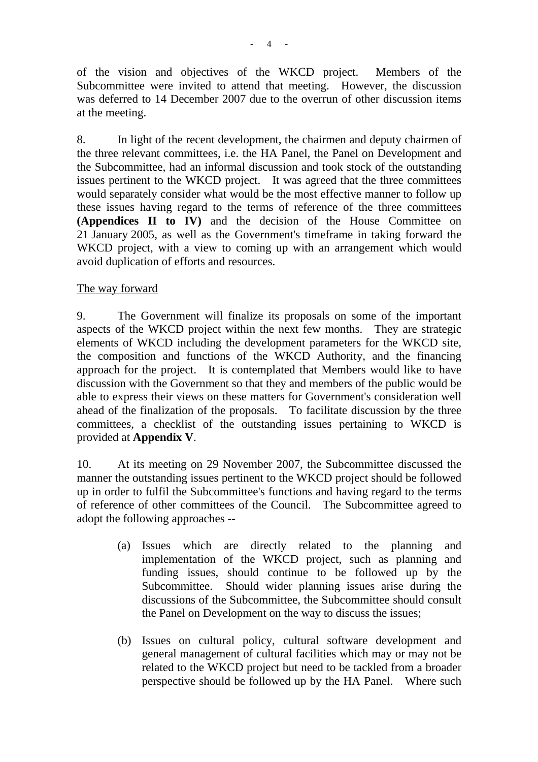of the vision and objectives of the WKCD project. Members of the Subcommittee were invited to attend that meeting. However, the discussion was deferred to 14 December 2007 due to the overrun of other discussion items at the meeting.

8. In light of the recent development, the chairmen and deputy chairmen of the three relevant committees, i.e. the HA Panel, the Panel on Development and the Subcommittee, had an informal discussion and took stock of the outstanding issues pertinent to the WKCD project. It was agreed that the three committees would separately consider what would be the most effective manner to follow up these issues having regard to the terms of reference of the three committees **(Appendices II to IV)** and the decision of the House Committee on 21 January 2005, as well as the Government's timeframe in taking forward the WKCD project, with a view to coming up with an arrangement which would avoid duplication of efforts and resources.

# The way forward

9. The Government will finalize its proposals on some of the important aspects of the WKCD project within the next few months. They are strategic elements of WKCD including the development parameters for the WKCD site, the composition and functions of the WKCD Authority, and the financing approach for the project. It is contemplated that Members would like to have discussion with the Government so that they and members of the public would be able to express their views on these matters for Government's consideration well ahead of the finalization of the proposals. To facilitate discussion by the three committees, a checklist of the outstanding issues pertaining to WKCD is provided at **Appendix V**.

10. At its meeting on 29 November 2007, the Subcommittee discussed the manner the outstanding issues pertinent to the WKCD project should be followed up in order to fulfil the Subcommittee's functions and having regard to the terms of reference of other committees of the Council. The Subcommittee agreed to adopt the following approaches --

- (a) Issues which are directly related to the planning and implementation of the WKCD project, such as planning and funding issues, should continue to be followed up by the Subcommittee. Should wider planning issues arise during the discussions of the Subcommittee, the Subcommittee should consult the Panel on Development on the way to discuss the issues;
- (b) Issues on cultural policy, cultural software development and general management of cultural facilities which may or may not be related to the WKCD project but need to be tackled from a broader perspective should be followed up by the HA Panel. Where such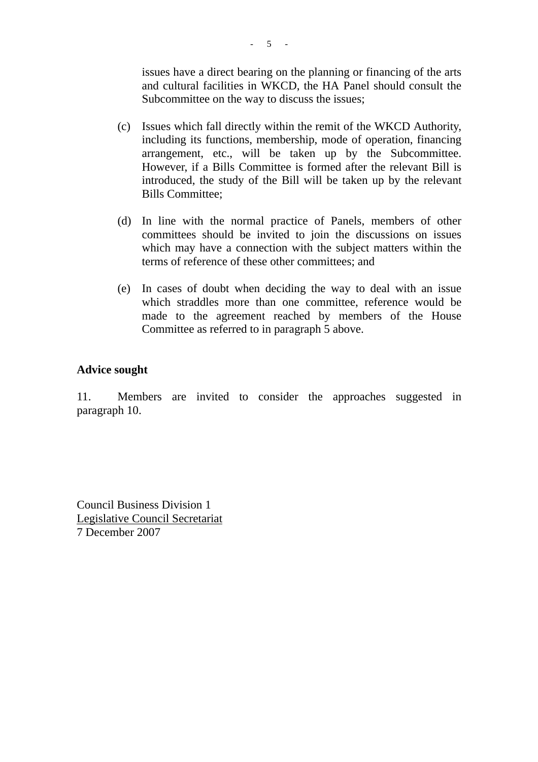issues have a direct bearing on the planning or financing of the arts and cultural facilities in WKCD, the HA Panel should consult the Subcommittee on the way to discuss the issues;

- (c) Issues which fall directly within the remit of the WKCD Authority, including its functions, membership, mode of operation, financing arrangement, etc., will be taken up by the Subcommittee. However, if a Bills Committee is formed after the relevant Bill is introduced, the study of the Bill will be taken up by the relevant Bills Committee;
- (d) In line with the normal practice of Panels, members of other committees should be invited to join the discussions on issues which may have a connection with the subject matters within the terms of reference of these other committees; and
- (e) In cases of doubt when deciding the way to deal with an issue which straddles more than one committee, reference would be made to the agreement reached by members of the House Committee as referred to in paragraph 5 above.

#### **Advice sought**

11. Members are invited to consider the approaches suggested in paragraph 10.

Council Business Division 1 Legislative Council Secretariat 7 December 2007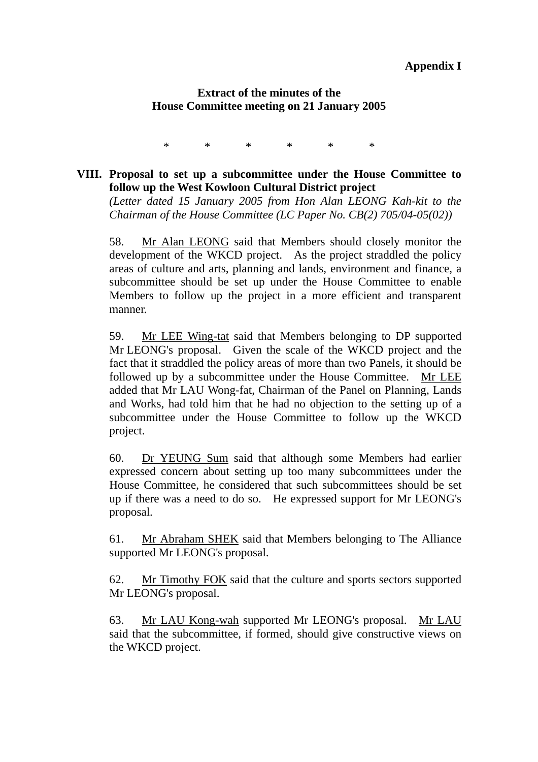#### **Appendix I**

#### **Extract of the minutes of the House Committee meeting on 21 January 2005**

\* \* \* \* \* \*

#### **VIII. Proposal to set up a subcommittee under the House Committee to follow up the West Kowloon Cultural District project**

*(Letter dated 15 January 2005 from Hon Alan LEONG Kah-kit to the Chairman of the House Committee (LC Paper No. CB(2) 705/04-05(02))* 

58. Mr Alan LEONG said that Members should closely monitor the development of the WKCD project. As the project straddled the policy areas of culture and arts, planning and lands, environment and finance, a subcommittee should be set up under the House Committee to enable Members to follow up the project in a more efficient and transparent manner.

59. Mr LEE Wing-tat said that Members belonging to DP supported Mr LEONG's proposal. Given the scale of the WKCD project and the fact that it straddled the policy areas of more than two Panels, it should be followed up by a subcommittee under the House Committee. Mr LEE added that Mr LAU Wong-fat, Chairman of the Panel on Planning, Lands and Works, had told him that he had no objection to the setting up of a subcommittee under the House Committee to follow up the WKCD project.

60. Dr YEUNG Sum said that although some Members had earlier expressed concern about setting up too many subcommittees under the House Committee, he considered that such subcommittees should be set up if there was a need to do so. He expressed support for Mr LEONG's proposal.

61. Mr Abraham SHEK said that Members belonging to The Alliance supported Mr LEONG's proposal.

62. Mr Timothy FOK said that the culture and sports sectors supported Mr LEONG's proposal.

63. Mr LAU Kong-wah supported Mr LEONG's proposal. Mr LAU said that the subcommittee, if formed, should give constructive views on the WKCD project.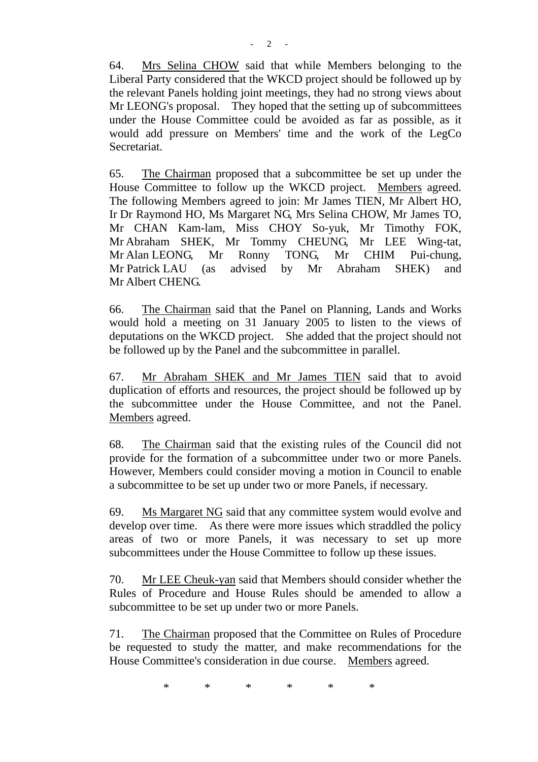64. Mrs Selina CHOW said that while Members belonging to the Liberal Party considered that the WKCD project should be followed up by the relevant Panels holding joint meetings, they had no strong views about Mr LEONG's proposal. They hoped that the setting up of subcommittees under the House Committee could be avoided as far as possible, as it would add pressure on Members' time and the work of the LegCo Secretariat.

65. The Chairman proposed that a subcommittee be set up under the House Committee to follow up the WKCD project. Members agreed. The following Members agreed to join: Mr James TIEN, Mr Albert HO, Ir Dr Raymond HO, Ms Margaret NG, Mrs Selina CHOW, Mr James TO, Mr CHAN Kam-lam, Miss CHOY So-yuk, Mr Timothy FOK, Mr Abraham SHEK, Mr Tommy CHEUNG, Mr LEE Wing-tat, Mr Alan LEONG, Mr Ronny TONG, Mr CHIM Pui-chung, Mr Patrick LAU (as advised by Mr Abraham SHEK) and Mr Albert CHENG.

66. The Chairman said that the Panel on Planning, Lands and Works would hold a meeting on 31 January 2005 to listen to the views of deputations on the WKCD project. She added that the project should not be followed up by the Panel and the subcommittee in parallel.

67. Mr Abraham SHEK and Mr James TIEN said that to avoid duplication of efforts and resources, the project should be followed up by the subcommittee under the House Committee, and not the Panel. Members agreed.

68. The Chairman said that the existing rules of the Council did not provide for the formation of a subcommittee under two or more Panels. However, Members could consider moving a motion in Council to enable a subcommittee to be set up under two or more Panels, if necessary.

69. Ms Margaret NG said that any committee system would evolve and develop over time. As there were more issues which straddled the policy areas of two or more Panels, it was necessary to set up more subcommittees under the House Committee to follow up these issues.

70. Mr LEE Cheuk-yan said that Members should consider whether the Rules of Procedure and House Rules should be amended to allow a subcommittee to be set up under two or more Panels.

71. The Chairman proposed that the Committee on Rules of Procedure be requested to study the matter, and make recommendations for the House Committee's consideration in due course. Members agreed.

\* \* \* \* \* \*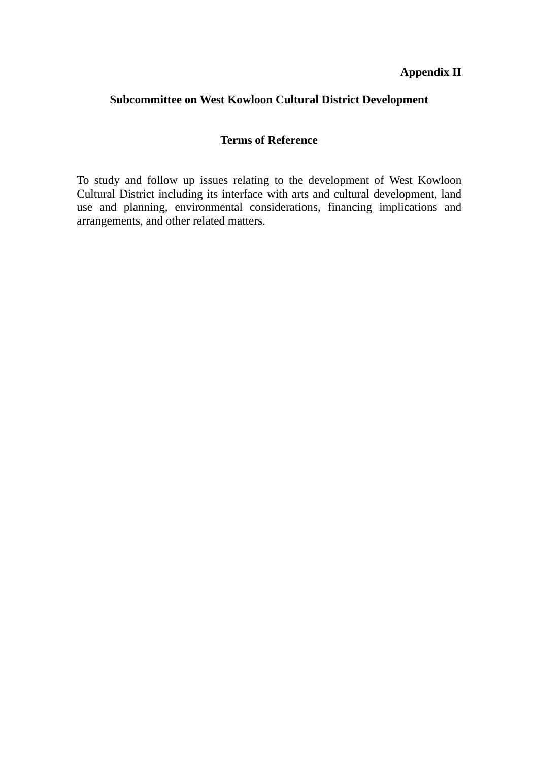# **Appendix II**

# **Subcommittee on West Kowloon Cultural District Development**

#### **Terms of Reference**

To study and follow up issues relating to the development of West Kowloon Cultural District including its interface with arts and cultural development, land use and planning, environmental considerations, financing implications and arrangements, and other related matters.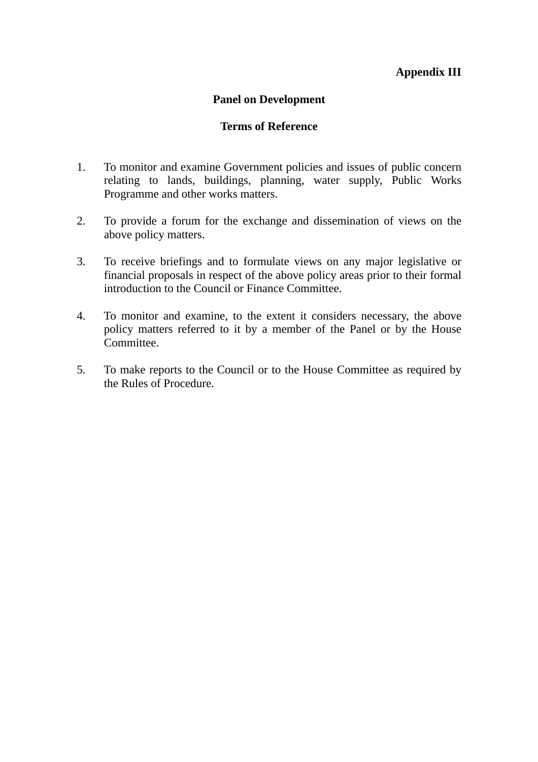# **Appendix III**

#### **Panel on Development**

#### **Terms of Reference**

- 1. To monitor and examine Government policies and issues of public concern relating to lands, buildings, planning, water supply, Public Works Programme and other works matters.
- 2. To provide a forum for the exchange and dissemination of views on the above policy matters.
- 3. To receive briefings and to formulate views on any major legislative or financial proposals in respect of the above policy areas prior to their formal introduction to the Council or Finance Committee.
- 4. To monitor and examine, to the extent it considers necessary, the above policy matters referred to it by a member of the Panel or by the House Committee.
- 5. To make reports to the Council or to the House Committee as required by the Rules of Procedure.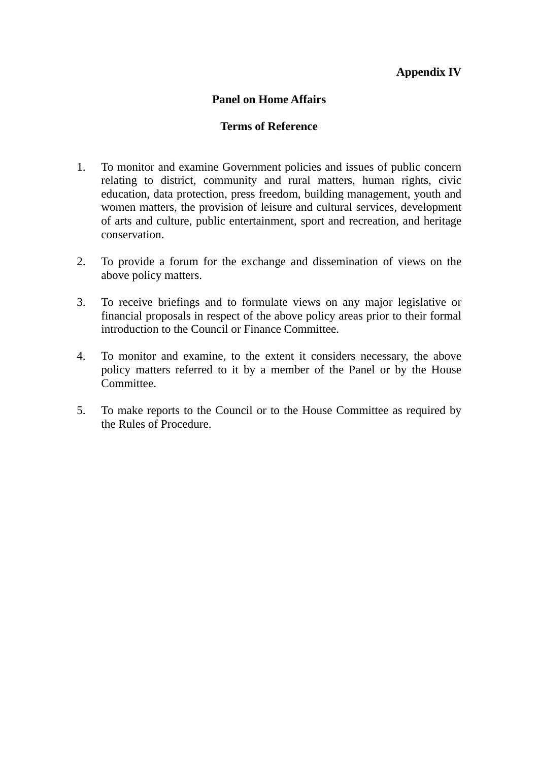# **Appendix IV**

#### **Panel on Home Affairs**

#### **Terms of Reference**

- 1. To monitor and examine Government policies and issues of public concern relating to district, community and rural matters, human rights, civic education, data protection, press freedom, building management, youth and women matters, the provision of leisure and cultural services, development of arts and culture, public entertainment, sport and recreation, and heritage conservation.
- 2. To provide a forum for the exchange and dissemination of views on the above policy matters.
- 3. To receive briefings and to formulate views on any major legislative or financial proposals in respect of the above policy areas prior to their formal introduction to the Council or Finance Committee.
- 4. To monitor and examine, to the extent it considers necessary, the above policy matters referred to it by a member of the Panel or by the House Committee.
- 5. To make reports to the Council or to the House Committee as required by the Rules of Procedure.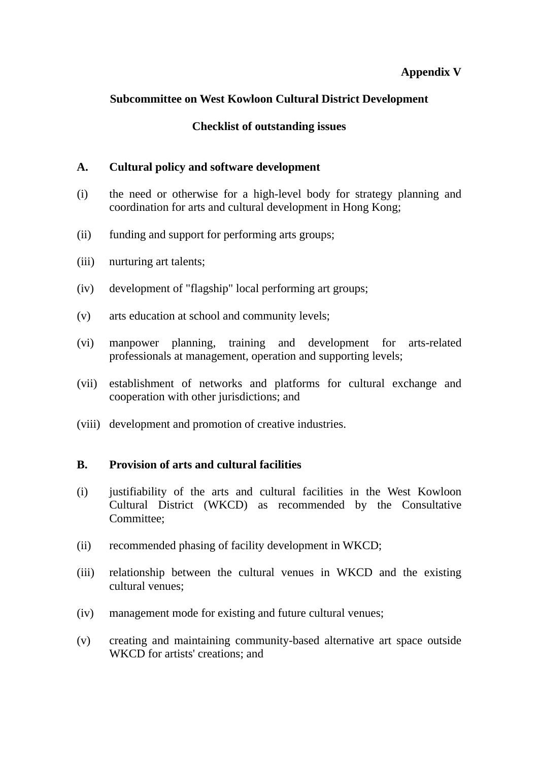# **Appendix V**

# **Subcommittee on West Kowloon Cultural District Development**

# **Checklist of outstanding issues**

#### **A. Cultural policy and software development**

- (i) the need or otherwise for a high-level body for strategy planning and coordination for arts and cultural development in Hong Kong;
- (ii) funding and support for performing arts groups;
- (iii) nurturing art talents;
- (iv) development of "flagship" local performing art groups;
- (v) arts education at school and community levels;
- (vi) manpower planning, training and development for arts-related professionals at management, operation and supporting levels;
- (vii) establishment of networks and platforms for cultural exchange and cooperation with other jurisdictions; and
- (viii) development and promotion of creative industries.

#### **B. Provision of arts and cultural facilities**

- (i) justifiability of the arts and cultural facilities in the West Kowloon Cultural District (WKCD) as recommended by the Consultative Committee;
- (ii) recommended phasing of facility development in WKCD;
- (iii) relationship between the cultural venues in WKCD and the existing cultural venues;
- (iv) management mode for existing and future cultural venues;
- (v) creating and maintaining community-based alternative art space outside WKCD for artists' creations; and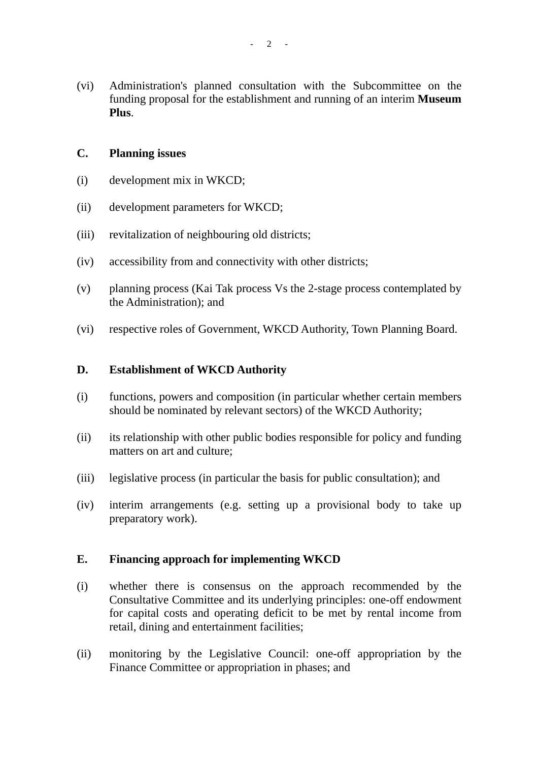(vi) Administration's planned consultation with the Subcommittee on the funding proposal for the establishment and running of an interim **Museum Plus**.

#### **C. Planning issues**

- (i) development mix in WKCD;
- (ii) development parameters for WKCD;
- (iii) revitalization of neighbouring old districts;
- (iv) accessibility from and connectivity with other districts;
- (v) planning process (Kai Tak process Vs the 2-stage process contemplated by the Administration); and
- (vi) respective roles of Government, WKCD Authority, Town Planning Board.

#### **D. Establishment of WKCD Authority**

- (i) functions, powers and composition (in particular whether certain members should be nominated by relevant sectors) of the WKCD Authority;
- (ii) its relationship with other public bodies responsible for policy and funding matters on art and culture;
- (iii) legislative process (in particular the basis for public consultation); and
- (iv) interim arrangements (e.g. setting up a provisional body to take up preparatory work).

#### **E. Financing approach for implementing WKCD**

- (i) whether there is consensus on the approach recommended by the Consultative Committee and its underlying principles: one-off endowment for capital costs and operating deficit to be met by rental income from retail, dining and entertainment facilities;
- (ii) monitoring by the Legislative Council: one-off appropriation by the Finance Committee or appropriation in phases; and